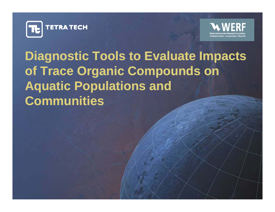



**Diagnostic Tools to Evaluate Impacts of Trace Organic Compounds on A quatic Po pulations and <sup>q</sup> <sup>p</sup> uatic Communities**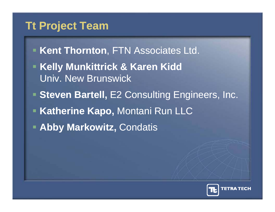### **Tt Project Team**

- **Kent Thornton, FTN Associates Ltd.**
- **Kelly Munkittrick & Karen Kidd & Karen Kidd** Univ. New Brunswick
- **F** Steven Bartell, E2 Consulting Engineers, Inc.
- **Katherine Kapo, Montani Run LLC**
- **Abby Markowitz,** Condatis

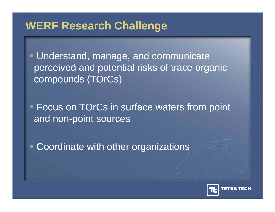#### **WERF Research Challenge**

 Understand, manage, and communicate perceived and potential risks of trace organic compounds (TOrCs)

**Focus on TOrCs in surface waters from point** and non-point sources

Coordinate with other organizations

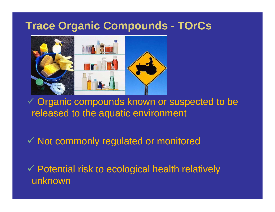#### **Trace Organic Compounds - TOrCs**



 $\checkmark$  Organic compounds known or suspected to be released to the aquatic environment

 $\checkmark$  Not commonly regulated or monitored

√ Potential risk to ecological health relatively<br>unknown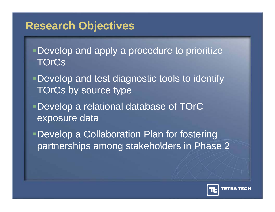#### **Research Objectives**

- Develop and apply a procedure to prioritize **TOrCs**
- Develop and test diagnostic tools to identify TOrCs by source type
- Develop a relational database of TOrC exposure data
- **-Develop a Collaboration Plan for fostering** partnerships among stakeholders in Phase 2

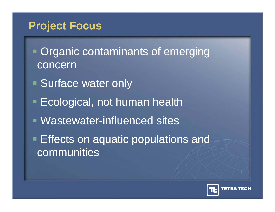### **Project Focus**

- **Organic contaminants of emerging** concern
- **Surface water only**
- **Ecological, not human health**
- $\blacksquare$  Wastewater-influenced sites
- **Effects on aquatic populations and** communities

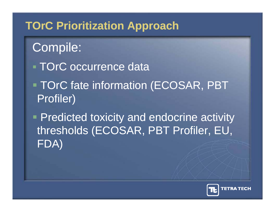## **TOrC Prioritization Approach**

Compile: **TOrC** occurrence data TOrC fate information (ECOSAR, PBT Profiler)

 $\blacksquare$  Predicted toxicity and endocrine activity thresholds (ECOSAR, PBT Profiler, EU, FDA)

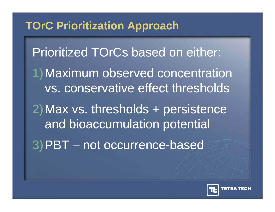## **TOrC Prioritization Approach**

Prioritized TOrCs based on either: 1)Maximum observed concentration vs. conservative effect thresholds 2) Max vs. thresholds + persistence and bioaccumulation potential 3)PBT not occurrence -based

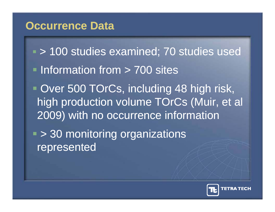#### **Occurrence Data**

- > 100 studies examined; 70 studies used **Information from > 700 sites • Over 500 TOrCs, including 48 high risk,** high production volume TOrCs (Muir, et al 2009) with no occurrence information
- > 30 monitoring organizations represented

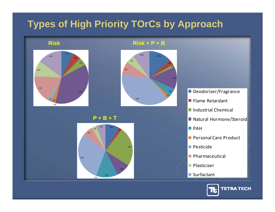#### **Types of High Priority TOrCs by Approach**



**P+B+TP + B + T**



**Risk Risk + P + B**



- Deodorizer/Fragrance
- Flame Retardant
- Industrial Chemical
- **Natural Hormone/Steroid Natural Hormone/Steroid** 
	- $\blacksquare$  PAH
	- Personal Care Product
	- Pesticide
	- **Pharmaceutical**
	- **Plasticizer**
	- Surfactant

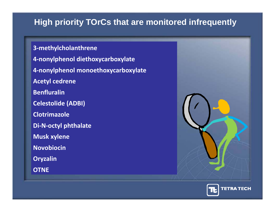#### **High priority TOrCs that are monitored infrequently**

**3 ‐methylcholanthrene 4 ‐nonylphenol diethoxycarboxylate 4 ‐nonylphenol monoethoxycarboxylate Acetyl cedrene BenfluralinCelestolide (ADBI) ClotrimazoleDi ‐ N ‐octyl phthalate Musk xylene N bi i ovobiocin Oryzalin OTNE**



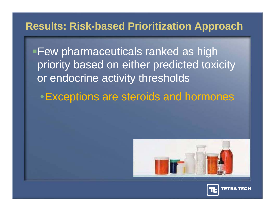#### **Results: Risk-based Prioritization Approach**

**Few pharmaceuticals ranked as high** priority based on either predicted toxicity or endocrine activity thresholds

 $\bullet$  Exceptions are steroids and hormones



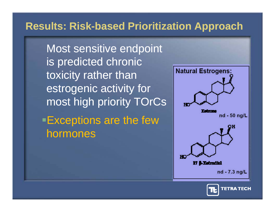#### **Results: Risk-based Prioritization Approach**

Most sensitive endpoint is predicted chronic toxicity rather than estro genic activit y for most high priority TOrCs **Exceptions are the few** hormones



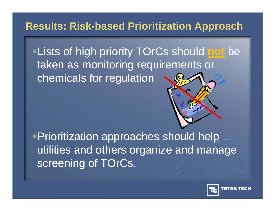#### **Results: Risk-based Prioritization Approach**

Lists of high priority TOrCs should **not** be taken as monitoring requirements or chemicals for regulation

Prioritization approaches should help utilities and others organize and manage screening of TOrCs.

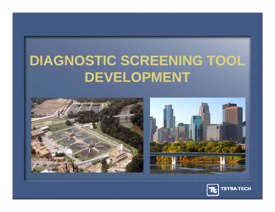# **DIAGNOSTIC SCREENING TOOL DEVELOPMENT**





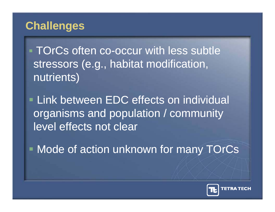## **Challenges**

**TOrCs often co-occur with less subtle** stressors (e.g., habitat modification, nutrients)

**Link between EDC effects on individual** organisms and population / community<br>level effects not clear

• Mode of action unknown for many TOrCs

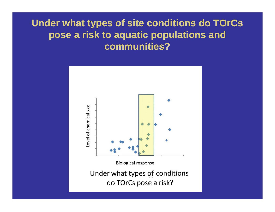# **Under what types of site conditions do TOrCs pose a risk to a quatic p o pulations and <sup>p</sup> <sup>q</sup> pp ose communities?**

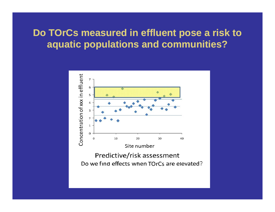#### **Do TOrCs measured in effluent pose a risk to aquatic populations and communities?**

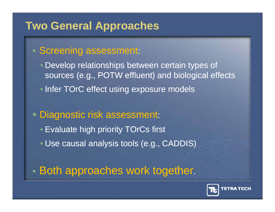### **Two General Approaches**

#### **Screening assessment:**

- Develop relationships between certain types of sources (e.g., POTW effluent) and biological effects
- Infer TOrC effect using exposure models
- Dia gnostic risk assessment:
	- Evaluate high priority TOrCs first
	- Use causal analysis tools (e.g., CADDIS)

## - Both approaches work together.

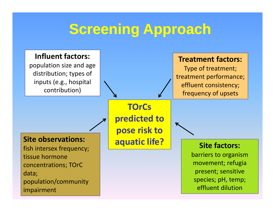## **Screening Approach**

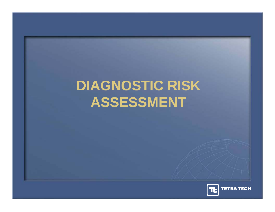# **DIAGNOSTIC RISK ASSESSMENT**

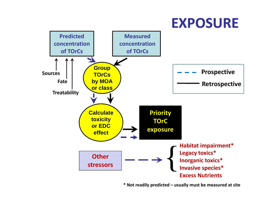## **EXPOSURE**



**\* Not readily predicted – usually must be measured at site**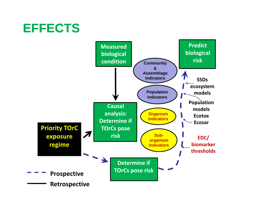## **EFFECTS**

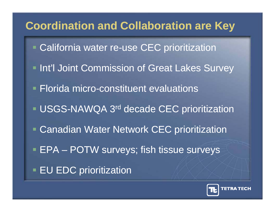## **Coordination and Collaboration are Key**

- **California water re-use CEC prioritization**
- Int'l Joint Commission of Great Lakes Survey
- **Florida micro-constituent evaluations**
- **USGS-NAWQA 3<sup>rd</sup> decade CEC prioritization**
- Canadian Water Network CEC prioritization
- $\blacksquare$  EPA  $-$ POTW surveys; fish tissue surveys
- **EU EDC prioritization**